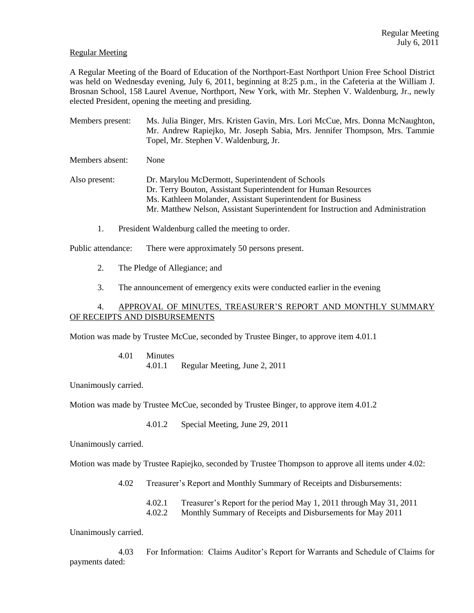## Regular Meeting

A Regular Meeting of the Board of Education of the Northport-East Northport Union Free School District was held on Wednesday evening, July 6, 2011, beginning at 8:25 p.m., in the Cafeteria at the William J. Brosnan School, 158 Laurel Avenue, Northport, New York, with Mr. Stephen V. Waldenburg, Jr., newly elected President, opening the meeting and presiding.

Members present: Ms. Julia Binger, Mrs. Kristen Gavin, Mrs. Lori McCue, Mrs. Donna McNaughton, Mr. Andrew Rapiejko, Mr. Joseph Sabia, Mrs. Jennifer Thompson, Mrs. Tammie Topel, Mr. Stephen V. Waldenburg, Jr.

Members absent: None

Also present: Dr. Marylou McDermott, Superintendent of Schools Dr. Terry Bouton, Assistant Superintendent for Human Resources Ms. Kathleen Molander, Assistant Superintendent for Business Mr. Matthew Nelson, Assistant Superintendent for Instruction and Administration

1. President Waldenburg called the meeting to order.

Public attendance: There were approximately 50 persons present.

- 2. The Pledge of Allegiance; and
- 3. The announcement of emergency exits were conducted earlier in the evening

# 4. APPROVAL OF MINUTES, TREASURER'S REPORT AND MONTHLY SUMMARY OF RECEIPTS AND DISBURSEMENTS

Motion was made by Trustee McCue, seconded by Trustee Binger, to approve item 4.01.1

4.01 Minutes 4.01.1 Regular Meeting, June 2, 2011

Unanimously carried.

Motion was made by Trustee McCue, seconded by Trustee Binger, to approve item 4.01.2

4.01.2 Special Meeting, June 29, 2011

Unanimously carried.

Motion was made by Trustee Rapiejko, seconded by Trustee Thompson to approve all items under 4.02:

4.02 Treasurer's Report and Monthly Summary of Receipts and Disbursements:

4.02.1 Treasurer's Report for the period May 1, 2011 through May 31, 2011 4.02.2 Monthly Summary of Receipts and Disbursements for May 2011

Unanimously carried.

4.03 For Information: Claims Auditor's Report for Warrants and Schedule of Claims for payments dated: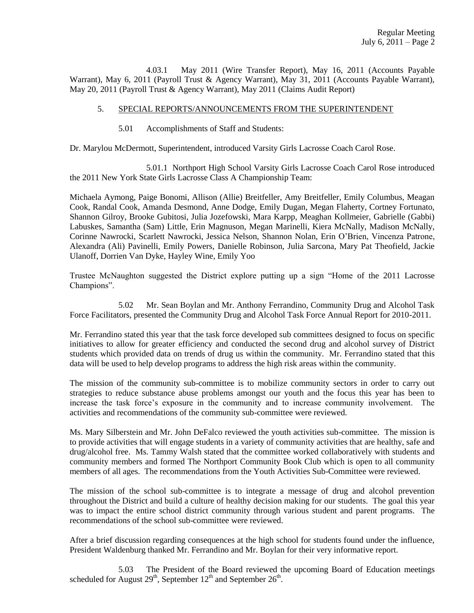4.03.1 May 2011 (Wire Transfer Report), May 16, 2011 (Accounts Payable Warrant), May 6, 2011 (Payroll Trust & Agency Warrant), May 31, 2011 (Accounts Payable Warrant), May 20, 2011 (Payroll Trust & Agency Warrant), May 2011 (Claims Audit Report)

# 5. SPECIAL REPORTS/ANNOUNCEMENTS FROM THE SUPERINTENDENT

5.01 Accomplishments of Staff and Students:

Dr. Marylou McDermott, Superintendent, introduced Varsity Girls Lacrosse Coach Carol Rose.

5.01.1 Northport High School Varsity Girls Lacrosse Coach Carol Rose introduced the 2011 New York State Girls Lacrosse Class A Championship Team:

Michaela Aymong, Paige Bonomi, Allison (Allie) Breitfeller, Amy Breitfeller, Emily Columbus, Meagan Cook, Randal Cook, Amanda Desmond, Anne Dodge, Emily Dugan, Megan Flaherty, Cortney Fortunato, Shannon Gilroy, Brooke Gubitosi, Julia Jozefowski, Mara Karpp, Meaghan Kollmeier, Gabrielle (Gabbi) Labuskes, Samantha (Sam) Little, Erin Magnuson, Megan Marinelli, Kiera McNally, Madison McNally, Corinne Nawrocki, Scarlett Nawrocki, Jessica Nelson, Shannon Nolan, Erin O'Brien, Vincenza Patrone, Alexandra (Ali) Pavinelli, Emily Powers, Danielle Robinson, Julia Sarcona, Mary Pat Theofield, Jackie Ulanoff, Dorrien Van Dyke, Hayley Wine, Emily Yoo

Trustee McNaughton suggested the District explore putting up a sign "Home of the 2011 Lacrosse Champions".

5.02 Mr. Sean Boylan and Mr. Anthony Ferrandino, Community Drug and Alcohol Task Force Facilitators, presented the Community Drug and Alcohol Task Force Annual Report for 2010-2011.

Mr. Ferrandino stated this year that the task force developed sub committees designed to focus on specific initiatives to allow for greater efficiency and conducted the second drug and alcohol survey of District students which provided data on trends of drug us within the community. Mr. Ferrandino stated that this data will be used to help develop programs to address the high risk areas within the community.

The mission of the community sub-committee is to mobilize community sectors in order to carry out strategies to reduce substance abuse problems amongst our youth and the focus this year has been to increase the task force's exposure in the community and to increase community involvement. The activities and recommendations of the community sub-committee were reviewed.

Ms. Mary Silberstein and Mr. John DeFalco reviewed the youth activities sub-committee. The mission is to provide activities that will engage students in a variety of community activities that are healthy, safe and drug/alcohol free. Ms. Tammy Walsh stated that the committee worked collaboratively with students and community members and formed The Northport Community Book Club which is open to all community members of all ages. The recommendations from the Youth Activities Sub-Committee were reviewed.

The mission of the school sub-committee is to integrate a message of drug and alcohol prevention throughout the District and build a culture of healthy decision making for our students. The goal this year was to impact the entire school district community through various student and parent programs. The recommendations of the school sub-committee were reviewed.

After a brief discussion regarding consequences at the high school for students found under the influence, President Waldenburg thanked Mr. Ferrandino and Mr. Boylan for their very informative report.

5.03 The President of the Board reviewed the upcoming Board of Education meetings scheduled for August  $29<sup>th</sup>$ , September  $12<sup>th</sup>$  and September  $26<sup>th</sup>$ .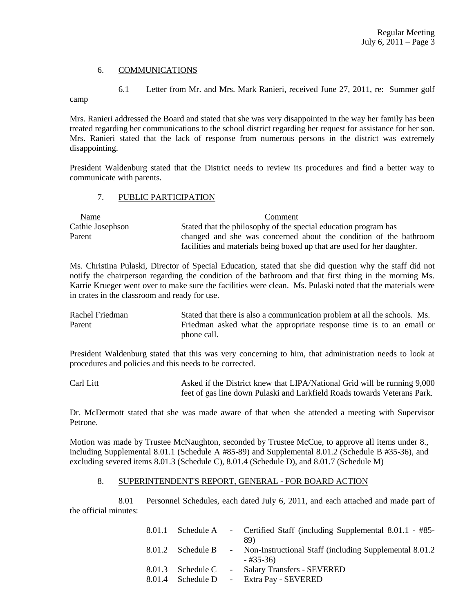## 6. COMMUNICATIONS

6.1 Letter from Mr. and Mrs. Mark Ranieri, received June 27, 2011, re: Summer golf camp

Mrs. Ranieri addressed the Board and stated that she was very disappointed in the way her family has been treated regarding her communications to the school district regarding her request for assistance for her son. Mrs. Ranieri stated that the lack of response from numerous persons in the district was extremely disappointing.

President Waldenburg stated that the District needs to review its procedures and find a better way to communicate with parents.

## 7. PUBLIC PARTICIPATION

| Name             | Comment                                                                 |
|------------------|-------------------------------------------------------------------------|
| Cathie Josephson | Stated that the philosophy of the special education program has         |
| Parent           | changed and she was concerned about the condition of the bathroom       |
|                  | facilities and materials being boxed up that are used for her daughter. |

Ms. Christina Pulaski, Director of Special Education, stated that she did question why the staff did not notify the chairperson regarding the condition of the bathroom and that first thing in the morning Ms. Karrie Krueger went over to make sure the facilities were clean. Ms. Pulaski noted that the materials were in crates in the classroom and ready for use.

Rachel Friedman Stated that there is also a communication problem at all the schools. Ms. Parent Friedman asked what the appropriate response time is to an email or phone call.

President Waldenburg stated that this was very concerning to him, that administration needs to look at procedures and policies and this needs to be corrected.

Carl Litt Asked if the District knew that LIPA/National Grid will be running 9,000 feet of gas line down Pulaski and Larkfield Roads towards Veterans Park.

Dr. McDermott stated that she was made aware of that when she attended a meeting with Supervisor Petrone.

Motion was made by Trustee McNaughton, seconded by Trustee McCue, to approve all items under 8., including Supplemental 8.01.1 (Schedule A #85-89) and Supplemental 8.01.2 (Schedule B #35-36), and excluding severed items 8.01.3 (Schedule C), 8.01.4 (Schedule D), and 8.01.7 (Schedule M)

### 8. SUPERINTENDENT'S REPORT, GENERAL - FOR BOARD ACTION

8.01 Personnel Schedules, each dated July 6, 2011, and each attached and made part of the official minutes:

| 8.01.1 |                   | Schedule A - Certified Staff (including Supplemental 8.01.1 - #85-<br>89) |
|--------|-------------------|---------------------------------------------------------------------------|
|        | 8.01.2 Schedule B | - Non-Instructional Staff (including Supplemental 8.01.2)<br>- #35-36)    |
| 8.01.3 |                   | Schedule C - Salary Transfers - SEVERED                                   |
| 8.01.4 |                   | Schedule D - Extra Pay - SEVERED                                          |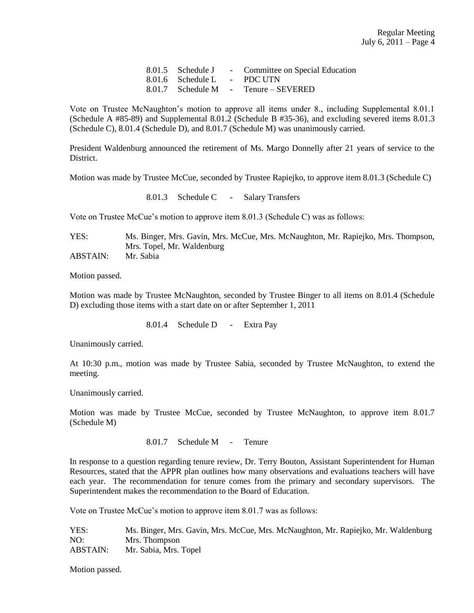| 8.01.5 Schedule J           | - Committee on Special Education     |
|-----------------------------|--------------------------------------|
| 8.01.6 Schedule L - PDC UTN |                                      |
|                             | 8.01.7 Schedule M - Tenure – SEVERED |

Vote on Trustee McNaughton's motion to approve all items under 8., including Supplemental 8.01.1 (Schedule A #85-89) and Supplemental 8.01.2 (Schedule B #35-36), and excluding severed items 8.01.3 (Schedule C), 8.01.4 (Schedule D), and 8.01.7 (Schedule M) was unanimously carried.

President Waldenburg announced the retirement of Ms. Margo Donnelly after 21 years of service to the District.

Motion was made by Trustee McCue, seconded by Trustee Rapiejko, to approve item 8.01.3 (Schedule C)

8.01.3 Schedule C - Salary Transfers

Vote on Trustee McCue's motion to approve item 8.01.3 (Schedule C) was as follows:

YES: Ms. Binger, Mrs. Gavin, Mrs. McCue, Mrs. McNaughton, Mr. Rapiejko, Mrs. Thompson, Mrs. Topel, Mr. Waldenburg

ABSTAIN: Mr. Sabia

Motion passed.

Motion was made by Trustee McNaughton, seconded by Trustee Binger to all items on 8.01.4 (Schedule D) excluding those items with a start date on or after September 1, 2011

8.01.4 Schedule D - Extra Pay

Unanimously carried.

At 10:30 p.m., motion was made by Trustee Sabia, seconded by Trustee McNaughton, to extend the meeting.

Unanimously carried.

Motion was made by Trustee McCue, seconded by Trustee McNaughton, to approve item 8.01.7 (Schedule M)

8.01.7 Schedule M - Tenure

In response to a question regarding tenure review, Dr. Terry Bouton, Assistant Superintendent for Human Resources, stated that the APPR plan outlines how many observations and evaluations teachers will have each year. The recommendation for tenure comes from the primary and secondary supervisors. The Superintendent makes the recommendation to the Board of Education.

Vote on Trustee McCue's motion to approve item 8.01.7 was as follows:

YES: Ms. Binger, Mrs. Gavin, Mrs. McCue, Mrs. McNaughton, Mr. Rapiejko, Mr. Waldenburg NO: Mrs. Thompson ABSTAIN: Mr. Sabia, Mrs. Topel

Motion passed.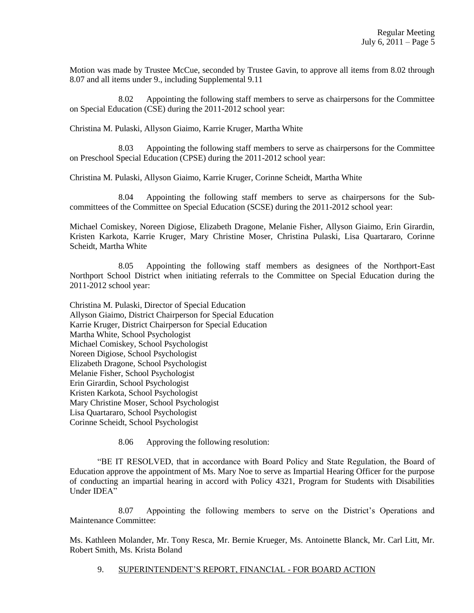Motion was made by Trustee McCue, seconded by Trustee Gavin, to approve all items from 8.02 through 8.07 and all items under 9., including Supplemental 9.11

8.02 Appointing the following staff members to serve as chairpersons for the Committee on Special Education (CSE) during the 2011-2012 school year:

Christina M. Pulaski, Allyson Giaimo, Karrie Kruger, Martha White

8.03 Appointing the following staff members to serve as chairpersons for the Committee on Preschool Special Education (CPSE) during the 2011-2012 school year:

Christina M. Pulaski, Allyson Giaimo, Karrie Kruger, Corinne Scheidt, Martha White

8.04 Appointing the following staff members to serve as chairpersons for the Subcommittees of the Committee on Special Education (SCSE) during the 2011-2012 school year:

Michael Comiskey, Noreen Digiose, Elizabeth Dragone, Melanie Fisher, Allyson Giaimo, Erin Girardin, Kristen Karkota, Karrie Kruger, Mary Christine Moser, Christina Pulaski, Lisa Quartararo, Corinne Scheidt, Martha White

8.05 Appointing the following staff members as designees of the Northport-East Northport School District when initiating referrals to the Committee on Special Education during the 2011-2012 school year:

Christina M. Pulaski, Director of Special Education Allyson Giaimo, District Chairperson for Special Education Karrie Kruger, District Chairperson for Special Education Martha White, School Psychologist Michael Comiskey, School Psychologist Noreen Digiose, School Psychologist Elizabeth Dragone, School Psychologist Melanie Fisher, School Psychologist Erin Girardin, School Psychologist Kristen Karkota, School Psychologist Mary Christine Moser, School Psychologist Lisa Quartararo, School Psychologist Corinne Scheidt, School Psychologist

8.06 Approving the following resolution:

"BE IT RESOLVED, that in accordance with Board Policy and State Regulation, the Board of Education approve the appointment of Ms. Mary Noe to serve as Impartial Hearing Officer for the purpose of conducting an impartial hearing in accord with Policy 4321, Program for Students with Disabilities Under IDEA"

8.07 Appointing the following members to serve on the District's Operations and Maintenance Committee:

Ms. Kathleen Molander, Mr. Tony Resca, Mr. Bernie Krueger, Ms. Antoinette Blanck, Mr. Carl Litt, Mr. Robert Smith, Ms. Krista Boland

9. SUPERINTENDENT'S REPORT, FINANCIAL - FOR BOARD ACTION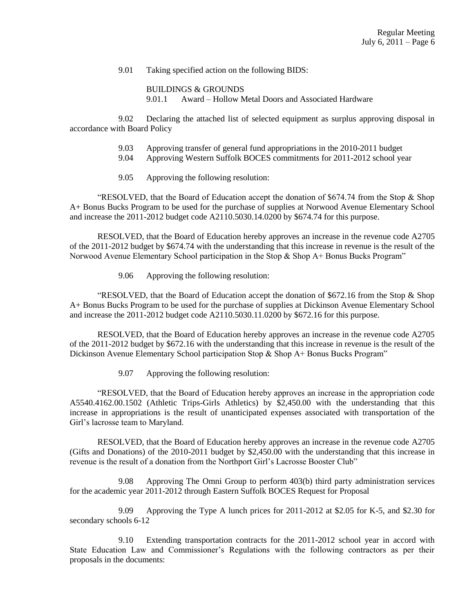9.01 Taking specified action on the following BIDS:

BUILDINGS & GROUNDS 9.01.1 Award – Hollow Metal Doors and Associated Hardware

 9.02 Declaring the attached list of selected equipment as surplus approving disposal in accordance with Board Policy

- 9.03 Approving transfer of general fund appropriations in the 2010-2011 budget
- 9.04 Approving Western Suffolk BOCES commitments for 2011-2012 school year
- 9.05 Approving the following resolution:

"RESOLVED, that the Board of Education accept the donation of \$674.74 from the Stop & Shop A+ Bonus Bucks Program to be used for the purchase of supplies at Norwood Avenue Elementary School and increase the 2011-2012 budget code A2110.5030.14.0200 by \$674.74 for this purpose.

RESOLVED, that the Board of Education hereby approves an increase in the revenue code A2705 of the 2011-2012 budget by \$674.74 with the understanding that this increase in revenue is the result of the Norwood Avenue Elementary School participation in the Stop & Shop A+ Bonus Bucks Program"

9.06 Approving the following resolution:

"RESOLVED, that the Board of Education accept the donation of \$672.16 from the Stop & Shop A+ Bonus Bucks Program to be used for the purchase of supplies at Dickinson Avenue Elementary School and increase the 2011-2012 budget code A2110.5030.11.0200 by \$672.16 for this purpose.

RESOLVED, that the Board of Education hereby approves an increase in the revenue code A2705 of the 2011-2012 budget by \$672.16 with the understanding that this increase in revenue is the result of the Dickinson Avenue Elementary School participation Stop & Shop A+ Bonus Bucks Program"

9.07 Approving the following resolution:

"RESOLVED, that the Board of Education hereby approves an increase in the appropriation code A5540.4162.00.1502 (Athletic Trips-Girls Athletics) by \$2,450.00 with the understanding that this increase in appropriations is the result of unanticipated expenses associated with transportation of the Girl's lacrosse team to Maryland.

RESOLVED, that the Board of Education hereby approves an increase in the revenue code A2705 (Gifts and Donations) of the 2010-2011 budget by \$2,450.00 with the understanding that this increase in revenue is the result of a donation from the Northport Girl's Lacrosse Booster Club"

9.08 Approving The Omni Group to perform 403(b) third party administration services for the academic year 2011-2012 through Eastern Suffolk BOCES Request for Proposal

9.09 Approving the Type A lunch prices for 2011-2012 at \$2.05 for K-5, and \$2.30 for secondary schools 6-12

9.10 Extending transportation contracts for the 2011-2012 school year in accord with State Education Law and Commissioner's Regulations with the following contractors as per their proposals in the documents: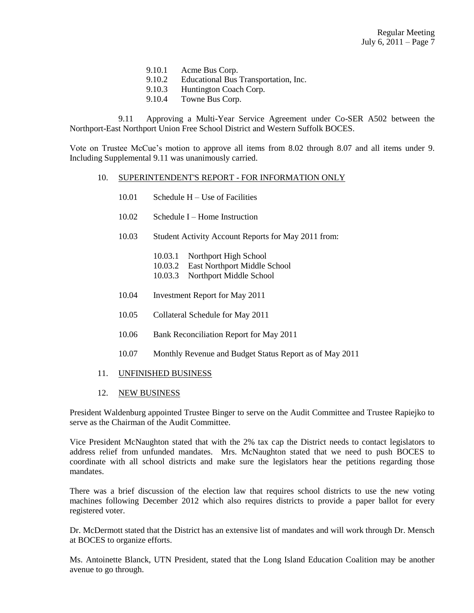- 9.10.1 Acme Bus Corp.
- 9.10.2 Educational Bus Transportation, Inc.
- 9.10.3 Huntington Coach Corp.
- 9.10.4 Towne Bus Corp.

9.11 Approving a Multi-Year Service Agreement under Co-SER A502 between the Northport-East Northport Union Free School District and Western Suffolk BOCES.

Vote on Trustee McCue's motion to approve all items from 8.02 through 8.07 and all items under 9. Including Supplemental 9.11 was unanimously carried.

#### 10. SUPERINTENDENT'S REPORT - FOR INFORMATION ONLY

- $10.01$  Schedule H Use of Facilities
- 10.02 Schedule I Home Instruction
- 10.03 Student Activity Account Reports for May 2011 from:
	- 10.03.1 Northport High School
	- 10.03.2 East Northport Middle School
	- 10.03.3 Northport Middle School
- 10.04 Investment Report for May 2011
- 10.05 Collateral Schedule for May 2011
- 10.06 Bank Reconciliation Report for May 2011
- 10.07 Monthly Revenue and Budget Status Report as of May 2011
- 11. UNFINISHED BUSINESS
- 12. NEW BUSINESS

President Waldenburg appointed Trustee Binger to serve on the Audit Committee and Trustee Rapiejko to serve as the Chairman of the Audit Committee.

Vice President McNaughton stated that with the 2% tax cap the District needs to contact legislators to address relief from unfunded mandates. Mrs. McNaughton stated that we need to push BOCES to coordinate with all school districts and make sure the legislators hear the petitions regarding those mandates.

There was a brief discussion of the election law that requires school districts to use the new voting machines following December 2012 which also requires districts to provide a paper ballot for every registered voter.

Dr. McDermott stated that the District has an extensive list of mandates and will work through Dr. Mensch at BOCES to organize efforts.

Ms. Antoinette Blanck, UTN President, stated that the Long Island Education Coalition may be another avenue to go through.